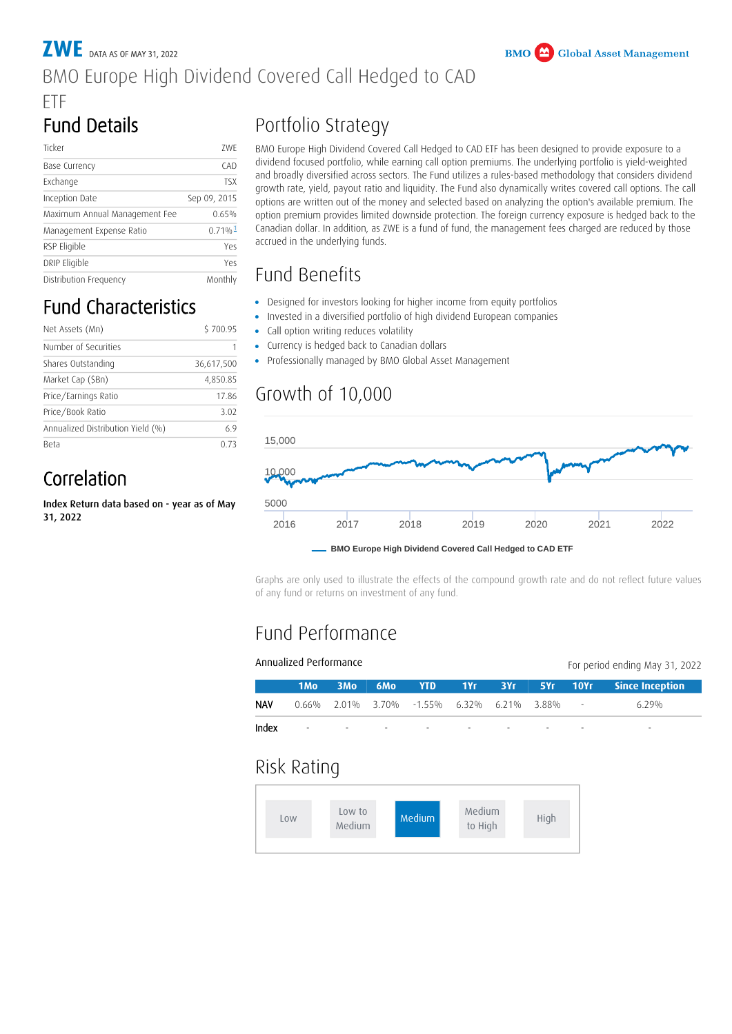#### **ZWE** DATA AS OF MAY 31, 2022 BMO Europe High Dividend Covered Call Hedged to CAD ETF

# Fund Details

| Ticker                        | 7WF                   |  |  |
|-------------------------------|-----------------------|--|--|
| Base Currency                 | CAD                   |  |  |
| Exchange                      | <b>TSX</b>            |  |  |
| Inception Date                | Sep 09, 2015          |  |  |
| Maximum Annual Management Fee | 0.65%                 |  |  |
| Management Expense Ratio      | $0.71\%$ <sup>1</sup> |  |  |
| RSP Eligible                  | Yes                   |  |  |
| DRIP Eligible                 | Yes                   |  |  |
| Distribution Frequency        | Monthly               |  |  |

# Fund Characteristics

| Net Assets (Mn)                   | \$700.95   |  |  |
|-----------------------------------|------------|--|--|
| Number of Securities              |            |  |  |
| Shares Outstanding                | 36,617,500 |  |  |
| Market Cap (\$Bn)                 | 4,850.85   |  |  |
| Price/Earnings Ratio              | 17.86      |  |  |
| Price/Book Ratio                  | 3.02       |  |  |
| Annualized Distribution Yield (%) | 69         |  |  |
| <b>Beta</b>                       |            |  |  |

## Correlation

Index Return data based on - year as of May 31, 2022

# Portfolio Strategy

BMO Europe High Dividend Covered Call Hedged to CAD ETF has been designed to provide exposure to a dividend focused portfolio, while earning call option premiums. The underlying portfolio is yield-weighted and broadly diversified across sectors. The Fund utilizes a rules-based methodology that considers dividend growth rate, yield, payout ratio and liquidity. The Fund also dynamically writes covered call options. The call options are written out of the money and selected based on analyzing the option's available premium. The option premium provides limited downside protection. The foreign currency exposure is hedged back to the Canadian dollar. In addition, as ZWE is a fund of fund, the management fees charged are reduced by those accrued in the underlying funds.

### <span id="page-0-0"></span>Fund Benefits

- Designed for investors looking for higher income from equity portfolios
- Invested in a diversified portfolio of high dividend European companies
- Call option writing reduces volatility •
- Currency is hedged back to Canadian dollars
- Professionally managed by BMO Global Asset Management

#### Growth of 10,000



Graphs are only used to illustrate the effects of the compound growth rate and do not reflect future values of any fund or returns on investment of any fund.

## Fund Performance

| Annualized Performance<br>For period ending May 31, 2022 |                 |                          |     |                                                    |     |     |      |                          |                        |
|----------------------------------------------------------|-----------------|--------------------------|-----|----------------------------------------------------|-----|-----|------|--------------------------|------------------------|
|                                                          | 1 <sub>Mo</sub> | 3 <sub>Mo</sub>          | 6Mo | <b>YTD</b>                                         | 1Yf | 3Yf |      | $5Yr$ 10 $Yr$            | <b>Since Inception</b> |
| <b>NAV</b>                                               |                 |                          |     | $0.66\%$ $2.01\%$ $3.70\%$ $-1.55\%$ 6.32\% 6.21\% |     |     | 388% | $\overline{\phantom{a}}$ | $6.29\%$               |
| Index                                                    | -               | $\overline{\phantom{a}}$ |     |                                                    |     |     |      | $\overline{\phantom{a}}$ | -                      |

#### Risk Rating